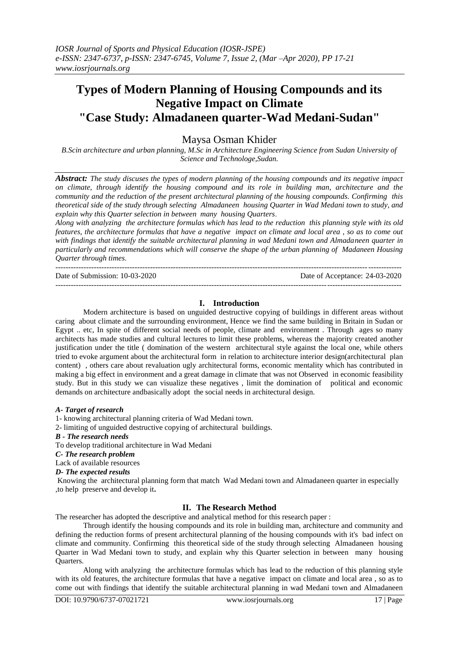# **Types of Modern Planning of Housing Compounds and its Negative Impact on Climate "Case Study: Almadaneen quarter-Wad Medani-Sudan"**

# Maysa Osman Khider

*B.Scin architecture and urban planning, M.Sc in Architecture Engineering Science from Sudan University of Science and Technologe,Sudan.*

*Abstract: The study discuses the types of modern planning of the housing compounds and its negative impact on climate, through identify the housing compound and its role in building man, architecture and the community and the reduction of the present architectural planning of the housing compounds. Confirming this theoretical side of the study through selecting Almadaneen housing Quarter in Wad Medani town to study, and explain why this Quarter selection in between many housing Quarters*.

*Along with analyzing the architecture formulas which has lead to the reduction this planning style with its old features, the architecture formulas that have a negative impact on climate and local area , so as to come out with findings that identify the suitable architectural planning in wad Medani town and Almadaneen quarter in particularly and recommendations which will conserve the shape of the urban planning of Madaneen Housing Quarter through times*.

Date of Submission: 10-03-2020 Date of Acceptance: 24-03-2020

### **I. Introduction**

---------------------------------------------------------------------------------------------------------------------------------------

Modern architecture is based on unguided destructive copying of buildings in different areas without caring about climate and the surrounding environment, Hence we find the same building in Britain in Sudan or Egypt .. etc, In spite of different social needs of people, climate and environment . Through ages so many architects has made studies and cultural lectures to limit these problems, whereas the majority created another justification under the title ( domination of the western architectural style against the local one, while others tried to evoke argument about the architectural form in relation to architecture interior design(architectural plan content) , others care about revaluation ugly architectural forms, economic mentality which has contributed in making a big effect in environment and a great damage in climate that was not Observed in economic feasibility study. But in this study we can visualize these negatives , limit the domination of political and economic demands on architecture andbasically adopt the social needs in architectural design.

#### *A- Target of research*

1- knowing architectural planning criteria of Wad Medani town.

2- limiting of unguided destructive copying of architectural buildings.

---------------------------------------------------------------------------------------------------------------------------------------

*B - The research needs*

To develop traditional architecture in Wad Medani

*C- The research problem*

Lack of available resources

#### *D- The expected results*

Knowing the architectural planning form that match Wad Medani town and Almadaneen quarter in especially ,to help preserve and develop it**.**

# **II. The Research Method**

The researcher has adopted the descriptive and analytical method for this research paper :

Through identify the housing compounds and its role in building man, architecture and community and defining the reduction forms of present architectural planning of the housing compounds with it's bad infect on climate and community. Confirming this theoretical side of the study through selecting Almadaneen housing Quarter in Wad Medani town to study, and explain why this Quarter selection in between many housing Quarters.

Along with analyzing the architecture formulas which has lead to the reduction of this planning style with its old features, the architecture formulas that have a negative impact on climate and local area, so as to come out with findings that identify the suitable architectural planning in wad Medani town and Almadaneen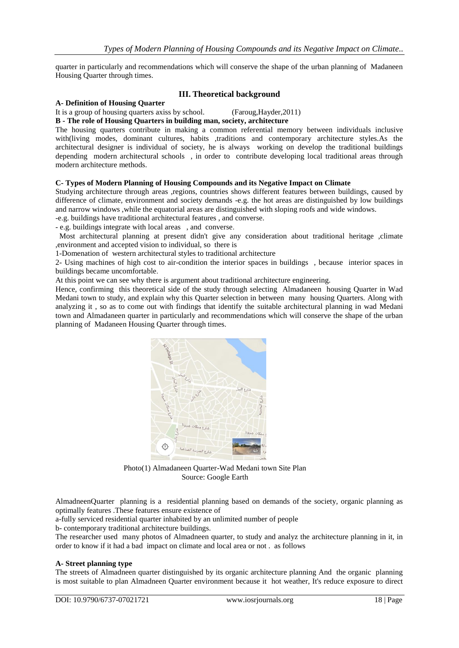quarter in particularly and recommendations which will conserve the shape of the urban planning of Madaneen Housing Quarter through times.

#### **III. Theoretical background**

#### **A- Definition of Housing Quarter**

It is a group of housing quarters axiss by school. (Faroug,Hayder,2011)

#### **B - The role of Housing Quarters in building man, society, architecture**

The housing quarters contribute in making a common referential memory between individuals inclusive with(living modes, dominant cultures, habits ,traditions and contemporary architecture styles.As the architectural designer is individual of society, he is always working on develop the traditional buildings depending modern architectural schools , in order to contribute developing local traditional areas through modern architecture methods.

#### **C- Types of Modern Planning of Housing Compounds and its Negative Impact on Climate**

Studying architecture through areas ,regions, countries shows different features between buildings, caused by difference of climate, environment and society demands -e.g. the hot areas are distinguished by low buildings and narrow windows ,while the equatorial areas are distinguished with sloping roofs and wide windows.

-e.g. buildings have traditional architectural features , and converse.

- e.g. buildings integrate with local areas , and converse.

Most architectural planning at present didn't give any consideration about traditional heritage, climate ,environment and accepted vision to individual, so there is

1-Domenation of western architectural styles to traditional architecture

2- Using machines of high cost to air-condition the interior spaces in buildings , because interior spaces in buildings became uncomfortable.

At this point we can see why there is argument about traditional architecture engineering.

Hence, confirming this theoretical side of the study through selecting Almadaneen housing Quarter in Wad Medani town to study, and explain why this Quarter selection in between many housing Quarters. Along with analyzing it , so as to come out with findings that identify the suitable architectural planning in wad Medani town and Almadaneen quarter in particularly and recommendations which will conserve the shape of the urban planning of Madaneen Housing Quarter through times.



Photo(1) Almadaneen Quarter-Wad Medani town Site Plan Source: Google Earth

AlmadneenQuarter planning is a residential planning based on demands of the society, organic planning as optimally features .These features ensure existence of

a-fully serviced residential quarter inhabited by an unlimited number of people

b- contemporary traditional architecture buildings.

The researcher used many photos of Almadneen quarter, to study and analyz the architecture planning in it, in order to know if it had a bad impact on climate and local area or not . as follows

#### **A- Street planning type**

The streets of Almadneen quarter distinguished by its organic architecture planning And the organic planning is most suitable to plan Almadneen Quarter environment because it hot weather, It's reduce exposure to direct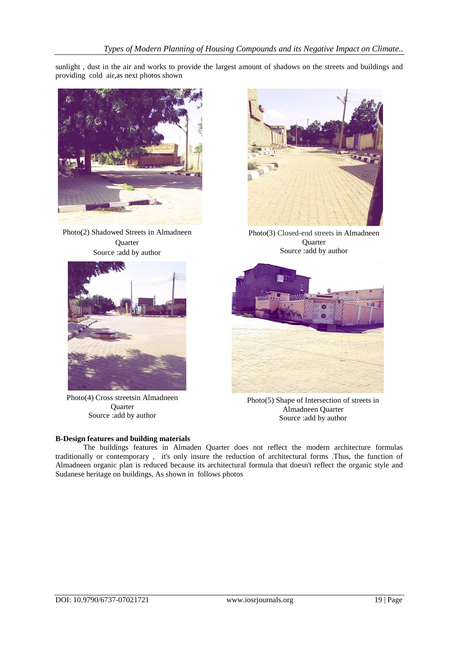sunlight , dust in the air and works to provide the largest amount of shadows on the streets and buildings and providing cold air,as next photos shown



Photo(2) Shadowed Streets in Almadneen **Quarter** Source :add by author



Photo(4) Cross streetsin Almadneen Quarter Source :add by author

#### **B-Design features and building materials**



Photo(3) Closed-end streets in Almadneen **Quarter** Source :add by author



Photo(5) Shape of Intersection of streets in Almadneen Quarter Source :add by author

The buildings features in Almaden Quarter does not reflect the modern architecture formulas traditionally or contemporary , it's only insure the reduction of architectural forms .Thus, the function of Almadneen organic plan is reduced because its architectural formula that doesn't reflect the organic style and Sudanese heritage on buildings, As shown in follows photos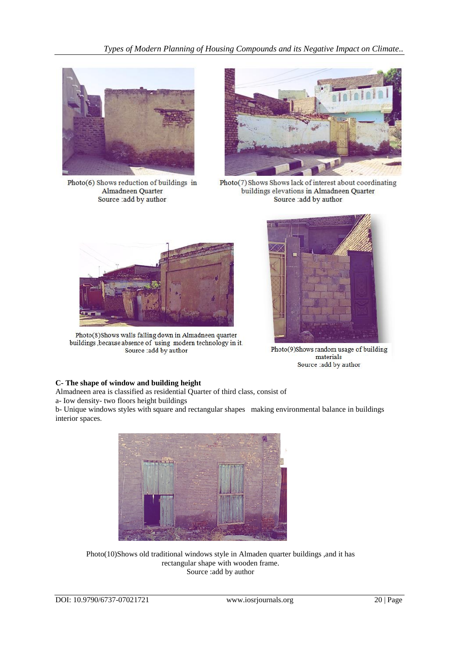*Types of Modern Planning of Housing Compounds and its Negative Impact on Climate..*



Photo(6) Shows reduction of buildings in Almadneen Quarter Source : add by author



Photo(7) Shows Shows lack of interest about coordinating buildings elevations in Almadneen Quarter Source : add by author



Photo(8)Shows walls falling down in Almadneen quarter buildings , because absence of using modern technology in it. Source :add by author



Photo(9)Shows random usage of building materials Source : add by author

# **C- The shape of window and building height**

Almadneen area is classified as residential Quarter of third class, consist of a- Iow density- two floors height buildings

b- Unique windows styles with square and rectangular shapes making environmental balance in buildings interior spaces.



Photo(10)Shows old traditional windows style in Almaden quarter buildings ,and it has rectangular shape with wooden frame. Source :add by author